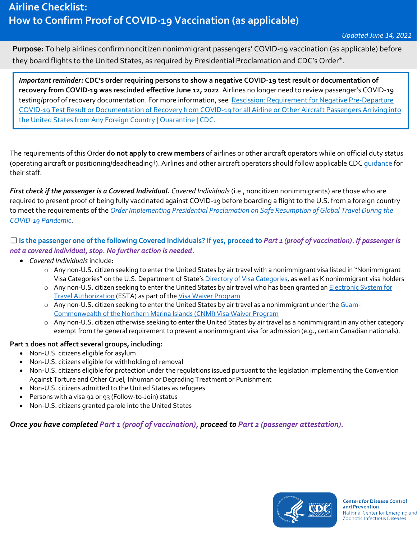**Purpose:** To help airlines confirm noncitizen nonimmigrant passengers' COVID-19 vaccination (as applicable) before they board flights to the United States, as required by Presidential Proclamation and CDC's Order\*.

*Important reminder:* **CDC's order requiring persons to show a negative COVID-19 test result or documentation of recovery from COVID-19 was rescinded effective June 12, 2022**. Airlines no longer need to review passenger's COVID-19 testing/proof of recovery documentation. For more information, see Rescission: Requirement for Negative Pre-Departure [COVID-19 Test Result or Documentation of Recovery from COVID-19 for all Airline or Other Aircraft Passengers Arriving into](https://www.cdc.gov/quarantine/fr-proof-negative-test.html)  [the United States from Any Foreign Country | Quarantine | CDC.](https://www.cdc.gov/quarantine/fr-proof-negative-test.html)

The requirements of this Order **do not apply to crew members** of airlines or other aircraft operators while on official duty status (operating aircraft or positioning/deadheading†). Airlines and other aircraft operators should follow applicable CD[C guidance](https://www.cdc.gov/coronavirus/2019-nCoV/index.html) for their staff.

*First check if the passenger is a Covered Individual. Covered Individuals* (i.e., noncitizen nonimmigrants) are those who are required to present proof of being fully vaccinated against COVID-19 before boarding a flight to the U.S. from a foreign country to meet the requirements of the *[Order Implementing Presidential Proclamation on Safe Resumption of Global Travel During the](https://www.cdc.gov/quarantine/order-safe-travel.html)  [COVID-19 Pandemic](https://www.cdc.gov/quarantine/order-safe-travel.html)*.

☐ **Is the passenger one of the following Covered Individuals? If yes, proceed to** *Part 1 (proof of vaccination). If passenger is not a covered individual, stop. No further action is needed.* 

- *Covered Individuals* include:
	- o Any non-U.S. citizen seeking to enter the United States by air travel with a nonimmigrant visa listed in "Nonimmigrant Visa Categories" on the U.S. Department of State'[s Directory of Visa Categories,](https://travel.state.gov/content/travel/en/us-visas/visa-information-resources/all-visa-categories.html) as well as K nonimmigrant visa holders
	- o Any non-U.S. citizen seeking to enter the United States by air travel who has been granted an Electronic System for [Travel Authorization](https://esta.cbp.dhs.gov/esta) (ESTA) as part of the [Visa Waiver Program](https://travel.state.gov/content/travel/en/us-visas/tourism-visit/visa-waiver-program.html)
	- o Any non-U.S. citizen seeking to enter the United States by air travel as a nonimmigrant under the [Guam-](https://www.dhs.gov/guam-cnmi-visa-waiver-program)[Commonwealth of the Northern Marina Islands \(CNMI\) Visa Waiver Program](https://www.dhs.gov/guam-cnmi-visa-waiver-program)
	- o Any non-U.S. citizen otherwise seeking to enter the United States by air travel as a nonimmigrant in any other category exempt from the general requirement to present a nonimmigrant visa for admission (e.g., certain Canadian nationals).

## **Part 1 does not affect several groups, including:**

- Non-U.S. citizens eligible for asylum
- Non-U.S. citizens eligible for withholding of removal
- Non-U.S. citizens eligible for protection under the regulations issued pursuant to the legislation implementing the Convention Against Torture and Other Cruel, Inhuman or Degrading Treatment or Punishment
- [Non-U.S. citizens admitted to the United States as refugees](https://www.uscis.gov/forms/explore-my-options/refugee-status)
- Persons with a visa 92 or 93 (Follow-to-Join) status
- Non-U.S. citizens granted parole into the United States

*Once you have completed Part 1 (proof of vaccination), proceed to Part 2 (passenger attestation).* 

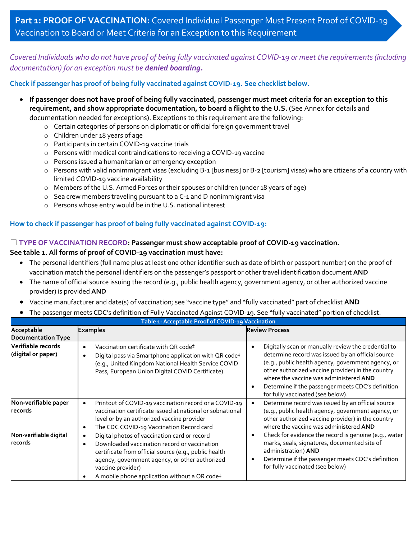*Covered Individuals who do not have proof of being fully vaccinated against COVID-19 or meet the requirements (including documentation) for an exception must be denied boarding.*

**Check if passenger has proof of being fully vaccinated against COVID-19. See checklist below.**

- **If passenger does not have proof of being fully vaccinated, passenger must meet criteria for an exception to this requirement, and show appropriate documentation, to board a flight to the U.S.** (See Annex for details and documentation needed for exceptions). Exceptions to this requirement are the following:
	- o Certain categories of persons on diplomatic or official foreign government travel
	- o Children under 18 years of age
	- o Participants in certain COVID-19 vaccine trials
	- o Persons with medical contraindications to receiving a COVID-19 vaccine
	- o Persons issued a humanitarian or emergency exception
	- o Persons with valid nonimmigrant visas (excluding B-1 [business] or B-2 [tourism] visas) who are citizens of a country with limited COVID-19 vaccine availability
	- o Members of the U.S. Armed Forces or their spouses or children (under 18 years of age)
	- o Sea crew members traveling pursuant to a C-1 and D nonimmigrant visa
	- o Persons whose entry would be in the U.S. national interest

## **How to check if passenger has proof of being fully vaccinated against COVID-19:**

### ☐ **TYPE OF VACCINATION RECORD: Passenger must show acceptable proof of COVID-19 vaccination.**

### **See table 1. All forms of proof of COVID-19 vaccination must have:**

- The personal identifiers (full name plus at least one other identifier such as date of birth or passport number) on the proof of vaccination match the personal identifiers on the passenger's passport or other travel identification document **AND**
- The name of official source issuing the record (e.g., public health agency, government agency, or other authorized vaccine provider) is provided **AND**
- Vaccine manufacturer and date(s) of vaccination; see "vaccine type" and "fully vaccinated" part of checklist **AND**
- The passenger meets CDC's definition of Fully Vaccinated Against COVID-19. See "fully vaccinated" portion of checklist.

| Table 1: Acceptable Proof of COVID-19 Vaccination |                                                                                                                                                                                                                                                                                                         |                                                                                                                                                                                                                                                                                                                                                         |  |  |
|---------------------------------------------------|---------------------------------------------------------------------------------------------------------------------------------------------------------------------------------------------------------------------------------------------------------------------------------------------------------|---------------------------------------------------------------------------------------------------------------------------------------------------------------------------------------------------------------------------------------------------------------------------------------------------------------------------------------------------------|--|--|
| Acceptable<br><b>Documentation Type</b>           | <b>Examples</b>                                                                                                                                                                                                                                                                                         | <b>Review Process</b>                                                                                                                                                                                                                                                                                                                                   |  |  |
| Verifiable records<br>(digital or paper)          | Vaccination certificate with QR code‡<br>$\bullet$<br>Digital pass via Smartphone application with QR code#<br>٠<br>(e.g., United Kingdom National Health Service COVID<br>Pass, European Union Digital COVID Certificate)                                                                              | Digitally scan or manually review the credential to<br>determine record was issued by an official source<br>(e.g., public health agency, government agency, or<br>other authorized vaccine provider) in the country<br>where the vaccine was administered AND<br>Determine if the passenger meets CDC's definition<br>for fully vaccinated (see below). |  |  |
| Non-verifiable paper<br>records                   | Printout of COVID-19 vaccination record or a COVID-19<br>$\bullet$<br>vaccination certificate issued at national or subnational<br>level or by an authorized vaccine provider<br>The CDC COVID-19 Vaccination Record card<br>٠                                                                          | Determine record was issued by an official source<br>(e.g., public health agency, government agency, or<br>other authorized vaccine provider) in the country<br>where the vaccine was administered AND                                                                                                                                                  |  |  |
| Non-verifiable digital<br>records                 | Digital photos of vaccination card or record<br>$\bullet$<br>Downloaded vaccination record or vaccination<br>$\bullet$<br>certificate from official source (e.g., public health<br>agency, government agency, or other authorized<br>vaccine provider)<br>A mobile phone application without a QR code# | Check for evidence the record is genuine (e.g., water<br>marks, seals, signatures, documented site of<br>administration) AND<br>Determine if the passenger meets CDC's definition<br>for fully vaccinated (see below)                                                                                                                                   |  |  |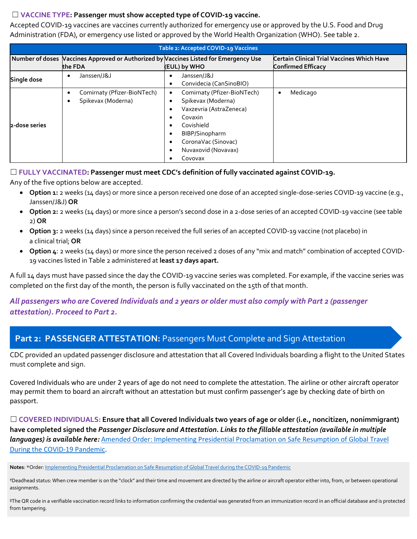## ☐ **VACCINE TYPE: Passenger must show accepted type of COVID-19 vaccine.**

Accepted COVID-19 vaccines are vaccines currently authorized for emergency use or approved by the U.S. Food and Drug Administration (FDA), or emergency use listed or approved by the World Health Organization (WHO). See table 2.

| Table 2: Accepted COVID-19 Vaccines |                                                                                                 |                                                                                                                                                                                                                                                                          |                                                                                |  |  |
|-------------------------------------|-------------------------------------------------------------------------------------------------|--------------------------------------------------------------------------------------------------------------------------------------------------------------------------------------------------------------------------------------------------------------------------|--------------------------------------------------------------------------------|--|--|
|                                     | Number of doses Vaccines Approved or Authorized by Vaccines Listed for Emergency Use<br>the FDA | (EUL) by WHO                                                                                                                                                                                                                                                             | <b>Certain Clinical Trial Vaccines Which Have</b><br><b>Confirmed Efficacy</b> |  |  |
| Single dose                         | Janssen/J&J                                                                                     | Janssen/J&J<br>$\bullet$<br>Convidecia (CanSinoBIO)<br>$\bullet$                                                                                                                                                                                                         |                                                                                |  |  |
| 2-dose series                       | Comirnaty (Pfizer-BioNTech)<br>Spikevax (Moderna)                                               | Comirnaty (Pfizer-BioNTech)<br>$\bullet$<br>Spikevax (Moderna)<br>$\bullet$<br>Vaxzevria (AstraZeneca)<br>٠<br>Covaxin<br>٠<br>Covishield<br>$\bullet$<br>BIBP/Sinopharm<br>$\bullet$<br>CoronaVac (Sinovac)<br>$\bullet$<br>Nuvaxovid (Novavax)<br>$\bullet$<br>Covovax | Medicago                                                                       |  |  |

## ☐ **FULLY VACCINATED: Passenger must meet CDC's definition of fully vaccinated against COVID-19.**

Any of the five options below are accepted.

- **Option 1:** 2 weeks (14 days) or more since a person received one dose of an accepted single-dose-series COVID-19 vaccine (e.g., Janssen/J&J) **OR**
- **Option 2:** 2 weeks (14 days) or more since a person's second dose in a 2-dose series of an accepted COVID-19 vaccine (see table 2) **OR**
- **Option 3:** 2 weeks (14 days) since a person received the full series of an accepted COVID-19 vaccine (not placebo) in a clinical trial; **OR**
- **Option 4**: 2 weeks (14 days) or more since the person received 2 doses of any "mix and match" combination of accepted COVID-19 vaccines listed in Table 2 administered at **least 17 days apart.**

A full 14 days must have passed since the day the COVID-19 vaccine series was completed. For example, if the vaccine series was completed on the first day of the month, the person is fully vaccinated on the 15th of that month.

# *All passengers who are Covered Individuals and 2 years or older must also comply with Part 2 (passenger attestation). Proceed to Part 2.*

# Part 2: PASSENGER ATTESTATION: Passengers Must Complete and Sign Attestation

CDC provided an updated passenger disclosure and attestation that all Covered Individuals boarding a flight to the United States must complete and sign.

Covered Individuals who are under 2 years of age do not need to complete the attestation. The airline or other aircraft operator may permit them to board an aircraft without an attestation but must confirm passenger's age by checking date of birth on passport.

☐ **COVERED INDIVIDUALS: Ensure that all Covered Individuals two years of age or older (i.e., noncitizen, nonimmigrant) have completed signed the** *Passenger Disclosure and Attestation. Links to the fillable attestation (available in multiple languages) is available here:* [Amended Order: Implementing Presidential Proclamation on Safe Resumption of Global Travel](https://www.cdc.gov/quarantine/order-safe-travel.html)  [During the COVID-19 Pandemic.](https://www.cdc.gov/quarantine/order-safe-travel.html)

**Notes**: \*Order[: Implementing Presidential Proclamation on Safe Resumption of Global Travel during the COVID-19 Pandemic](https://www.cdc.gov/quarantine/order-safe-travel.html) 

†Deadhead status: When crew member is on the "clock" and their time and movement are directed by the airline or aircraft operator either into, from, or between operational assignments.

‡The QR code in a verifiable vaccination record links to information confirming the credential was generated from an immunization record in an official database and is protected from tampering.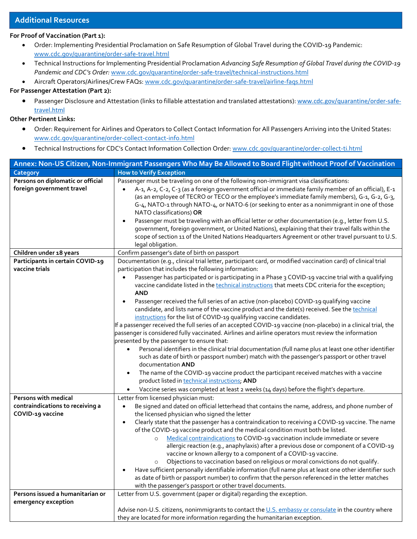## **Additional Resources**

#### **For Proof of Vaccination (Part 1):**

- Order: Implementing Presidential Proclamation on Safe Resumption of Global Travel during the COVID-19 Pandemic: [www.cdc.gov/quarantine/order-safe-travel.html](https://www.cdc.gov/quarantine/order-safe-travel.html)
- Technical Instructions for Implementing Presidential Proclamation *Advancing Safe Resumption of Global Travel during the COVID-19 Pandemic and CDC's Order:* [www.cdc.gov/quarantine/order-safe-travel/technical-instructions.html](https://www.cdc.gov/quarantine/order-safe-travel/technical-instructions.html)
- Aircraft Operators/Airlines/Crew FAQs: [www.cdc.gov/quarantine/order-safe-travel/airline-faqs.html](http://www.cdc.gov/quarantine/order-safe-travel/airline-faqs.html)

### **For Passenger Attestation (Part 2):**

• Passenger Disclosure and Attestation (links to fillable attestation and translated attestations): [www.cdc.gov/quarantine/order-safe](https://www.cdc.gov/quarantine/order-safe-travel.html)[travel.html](https://www.cdc.gov/quarantine/order-safe-travel.html)

#### **Other Pertinent Links:**

- Order: Requirement for Airlines and Operators to Collect Contact Information for All Passengers Arriving into the United States: [www.cdc.gov/quarantine/order-collect-contact-info.html](https://www.cdc.gov/quarantine/order-collect-contact-info.html)
- Technical Instructions for CDC's Contact Information Collection Order[: www.cdc.gov/quarantine/order-collect-ti.html](https://www.cdc.gov/quarantine/order-collect-ti.html)

| Annex: Non-US Citizen, Non-Immigrant Passengers Who May Be Allowed to Board Flight without Proof of Vaccination |                                                                                                                                                                                                           |  |  |  |
|-----------------------------------------------------------------------------------------------------------------|-----------------------------------------------------------------------------------------------------------------------------------------------------------------------------------------------------------|--|--|--|
| Category                                                                                                        | <b>How to Verify Exception</b>                                                                                                                                                                            |  |  |  |
| Persons on diplomatic or official                                                                               | Passenger must be traveling on one of the following non-immigrant visa classifications:                                                                                                                   |  |  |  |
| foreign government travel                                                                                       | A-1, A-2, C-2, C-3 (as a foreign government official or immediate family member of an official), E-1                                                                                                      |  |  |  |
|                                                                                                                 | (as an employee of TECRO or TECO or the employee's immediate family members), G-1, G-2, G-3,                                                                                                              |  |  |  |
|                                                                                                                 | G-4, NATO-1 through NATO-4, or NATO-6 (or seeking to enter as a nonimmigrant in one of those                                                                                                              |  |  |  |
|                                                                                                                 | NATO classifications) OR                                                                                                                                                                                  |  |  |  |
|                                                                                                                 | Passenger must be traveling with an official letter or other documentation (e.g., letter from U.S.                                                                                                        |  |  |  |
|                                                                                                                 | government, foreign government, or United Nations), explaining that their travel falls within the                                                                                                         |  |  |  |
|                                                                                                                 | scope of section 11 of the United Nations Headquarters Agreement or other travel pursuant to U.S.                                                                                                         |  |  |  |
|                                                                                                                 | legal obligation.                                                                                                                                                                                         |  |  |  |
| Children under 18 years                                                                                         | Confirm passenger's date of birth on passport                                                                                                                                                             |  |  |  |
| Participants in certain COVID-19<br>vaccine trials                                                              | Documentation (e.g., clinical trial letter, participant card, or modified vaccination card) of clinical trial                                                                                             |  |  |  |
|                                                                                                                 | participation that includes the following information:                                                                                                                                                    |  |  |  |
|                                                                                                                 | Passenger has participated or is participating in a Phase 3 COVID-19 vaccine trial with a qualifying<br>vaccine candidate listed in the technical instructions that meets CDC criteria for the exception; |  |  |  |
|                                                                                                                 | <b>AND</b>                                                                                                                                                                                                |  |  |  |
|                                                                                                                 | Passenger received the full series of an active (non-placebo) COVID-19 qualifying vaccine                                                                                                                 |  |  |  |
|                                                                                                                 | candidate, and lists name of the vaccine product and the date(s) received. See the technical                                                                                                              |  |  |  |
|                                                                                                                 | instructions for the list of COVID-19 qualifying vaccine candidates.                                                                                                                                      |  |  |  |
|                                                                                                                 | If a passenger received the full series of an accepted COVID-19 vaccine (non-placebo) in a clinical trial, the                                                                                            |  |  |  |
|                                                                                                                 | passenger is considered fully vaccinated. Airlines and airline operators must review the information                                                                                                      |  |  |  |
|                                                                                                                 | presented by the passenger to ensure that:                                                                                                                                                                |  |  |  |
|                                                                                                                 | Personal identifiers in the clinical trial documentation (full name plus at least one other identifier                                                                                                    |  |  |  |
|                                                                                                                 | such as date of birth or passport number) match with the passenger's passport or other travel                                                                                                             |  |  |  |
|                                                                                                                 | documentation AND                                                                                                                                                                                         |  |  |  |
|                                                                                                                 | The name of the COVID-19 vaccine product the participant received matches with a vaccine<br>٠                                                                                                             |  |  |  |
|                                                                                                                 | product listed in technical instructions; AND                                                                                                                                                             |  |  |  |
|                                                                                                                 | Vaccine series was completed at least 2 weeks (14 days) before the flight's departure.                                                                                                                    |  |  |  |
| Persons with medical                                                                                            | Letter from licensed physician must:                                                                                                                                                                      |  |  |  |
| contraindications to receiving a<br>COVID-19 vaccine                                                            | Be signed and dated on official letterhead that contains the name, address, and phone number of<br>$\bullet$                                                                                              |  |  |  |
|                                                                                                                 | the licensed physician who signed the letter<br>Clearly state that the passenger has a contraindication to receiving a COVID-19 vaccine. The name<br>$\bullet$                                            |  |  |  |
|                                                                                                                 | of the COVID-19 vaccine product and the medical condition must both be listed.                                                                                                                            |  |  |  |
|                                                                                                                 | Medical contraindications to COVID-19 vaccination include immediate or severe<br>$\circ$                                                                                                                  |  |  |  |
|                                                                                                                 | allergic reaction (e.g., anaphylaxis) after a previous dose or component of a COVID-19                                                                                                                    |  |  |  |
|                                                                                                                 | vaccine or known allergy to a component of a COVID-19 vaccine.                                                                                                                                            |  |  |  |
|                                                                                                                 | Objections to vaccination based on religious or moral convictions do not qualify.<br>$\circ$                                                                                                              |  |  |  |
|                                                                                                                 | Have sufficient personally identifiable information (full name plus at least one other identifier such                                                                                                    |  |  |  |
|                                                                                                                 | as date of birth or passport number) to confirm that the person referenced in the letter matches                                                                                                          |  |  |  |
|                                                                                                                 | with the passenger's passport or other travel documents.                                                                                                                                                  |  |  |  |
| Persons issued a humanitarian or                                                                                | Letter from U.S. government (paper or digital) regarding the exception.                                                                                                                                   |  |  |  |
| emergency exception                                                                                             |                                                                                                                                                                                                           |  |  |  |
|                                                                                                                 | Advise non-U.S. citizens, nonimmigrants to contact the U.S. embassy or consulate in the country where                                                                                                     |  |  |  |
|                                                                                                                 | they are located for more information regarding the humanitarian exception.                                                                                                                               |  |  |  |